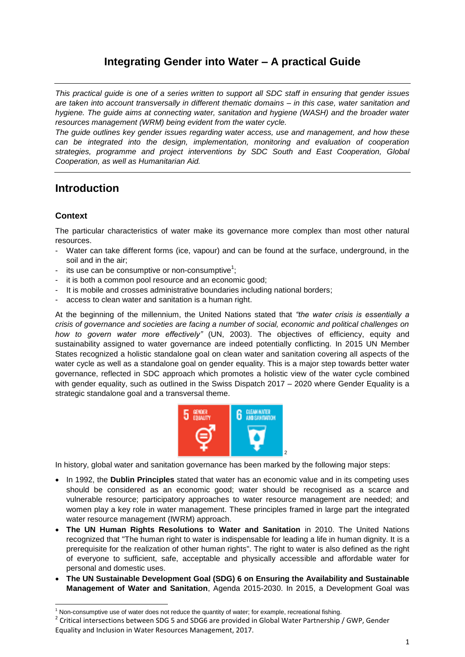# **Integrating Gender into Water – A practical Guide**

*This practical guide is one of a series written to support all SDC staff in ensuring that gender issues are taken into account transversally in different thematic domains – in this case, water sanitation and hygiene. The guide aims at connecting water, sanitation and hygiene (WASH) and the broader water resources management (WRM) being evident from the water cycle.* 

*The guide outlines key gender issues regarding water access, use and management, and how these can be integrated into the design, implementation, monitoring and evaluation of cooperation strategies, programme and project interventions by SDC South and East Cooperation, Global Cooperation, as well as Humanitarian Aid.*

# **Introduction**

## **Context**

**.** 

The particular characteristics of water make its governance more complex than most other natural resources.

- Water can take different forms (ice, vapour) and can be found at the surface, underground, in the soil and in the air;
- its use can be consumptive or non-consumptive<sup>1</sup>;
- it is both a common pool resource and an economic good:
- It is mobile and crosses administrative boundaries including national borders;
- access to clean water and sanitation is a human right.

At the beginning of the millennium, the United Nations stated that *"the water crisis is essentially a crisis of governance and societies are facing a number of social, economic and political challenges on how to govern water more effectively"* (UN, 2003). The objectives of efficiency, equity and sustainability assigned to water governance are indeed potentially conflicting. In 2015 UN Member States recognized a holistic standalone goal on clean water and sanitation covering all aspects of the water cycle as well as a standalone goal on gender equality. This is a major step towards better water governance, reflected in SDC approach which promotes a holistic view of the water cycle combined with gender equality, such as outlined in the Swiss Dispatch 2017 – 2020 where Gender Equality is a strategic standalone goal and a transversal theme.



In history, global water and sanitation governance has been marked by the following major steps:

- In 1992, the Dublin Principles stated that water has an economic value and in its competing uses should be considered as an economic good; water should be recognised as a scarce and vulnerable resource; participatory approaches to water resource management are needed; and women play a key role in water management. These principles framed in large part the integrated water resource management (IWRM) approach.
- **The UN Human Rights Resolutions to Water and Sanitation** in 2010. The United Nations recognized that "The human right to water is indispensable for leading a life in human dignity. It is a prerequisite for the realization of other human rights". The right to water is also defined as the right of everyone to sufficient, safe, acceptable and physically accessible and affordable water for personal and domestic uses.
- **The UN Sustainable Development Goal (SDG) 6 on Ensuring the Availability and Sustainable Management of Water and Sanitation**, Agenda 2015-2030. In 2015, a Development Goal was

 $1$  Non-consumptive use of water does not reduce the quantity of water; for example, recreational fishing.

 $2$  Critical intersections between SDG 5 and SDG6 are provided in Global Water Partnership / GWP, Gender Equality and Inclusion in Water Resources Management, 2017.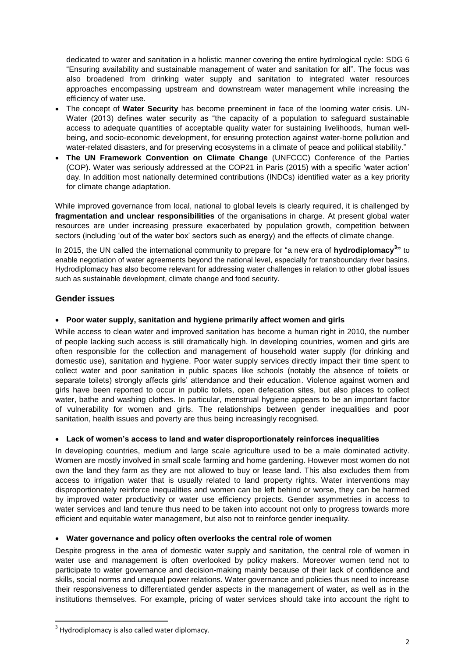dedicated to water and sanitation in a holistic manner covering the entire hydrological cycle: SDG 6 "Ensuring availability and sustainable management of water and sanitation for all". The focus was also broadened from drinking water supply and sanitation to integrated water resources approaches encompassing upstream and downstream water management while increasing the efficiency of water use.

- The concept of **Water Security** has become preeminent in face of the looming water crisis. UN-Water (2013) defines water security as "the capacity of a population to safeguard sustainable access to adequate quantities of acceptable quality water for sustaining livelihoods, human wellbeing, and socio-economic development, for ensuring protection against water-borne pollution and water-related disasters, and for preserving ecosystems in a climate of peace and political stability."
- **The UN Framework Convention on Climate Change** (UNFCCC) Conference of the Parties (COP). Water was seriously addressed at the COP21 in Paris (2015) with a specific 'water action' day. In addition most nationally determined contributions (INDCs) identified water as a key priority for climate change adaptation.

While improved governance from local, national to global levels is clearly required, it is challenged by **fragmentation and unclear responsibilities** of the organisations in charge. At present global water resources are under increasing pressure exacerbated by population growth, competition between sectors (including 'out of the water box' sectors such as energy) and the effects of climate change.

In 2015, the UN called the international community to prepare for "a new era of **hydrodiplomacy<sup>3</sup> "** to enable negotiation of water agreements beyond the national level, especially for transboundary river basins. Hydrodiplomacy has also become relevant for addressing water challenges in relation to other global issues such as sustainable development, climate change and food security.

## **Gender issues**

## **Poor water supply, sanitation and hygiene primarily affect women and girls**

While access to clean water and improved sanitation has become a human right in 2010, the number of people lacking such access is still dramatically high. In developing countries, women and girls are often responsible for the collection and management of household water supply (for drinking and domestic use), sanitation and hygiene. Poor water supply services directly impact their time spent to collect water and poor sanitation in public spaces like schools (notably the absence of toilets or separate toilets) strongly affects girls' attendance and their education. Violence against women and girls have been reported to occur in public toilets, open defecation sites, but also places to collect water, bathe and washing clothes. In particular, menstrual hygiene appears to be an important factor of vulnerability for women and girls. The relationships between gender inequalities and poor sanitation, health issues and poverty are thus being increasingly recognised.

## **Lack of women's access to land and water disproportionately reinforces inequalities**

In developing countries, medium and large scale agriculture used to be a male dominated activity. Women are mostly involved in small scale farming and home gardening. However most women do not own the land they farm as they are not allowed to buy or lease land. This also excludes them from access to irrigation water that is usually related to land property rights. Water interventions may disproportionately reinforce inequalities and women can be left behind or worse, they can be harmed by improved water productivity or water use efficiency projects. Gender asymmetries in access to water services and land tenure thus need to be taken into account not only to progress towards more efficient and equitable water management, but also not to reinforce gender inequality.

#### **Water governance and policy often overlooks the central role of women**

Despite progress in the area of domestic water supply and sanitation, the central role of women in water use and management is often overlooked by policy makers. Moreover women tend not to participate to water governance and decision-making mainly because of their lack of confidence and skills, social norms and unequal power relations. Water governance and policies thus need to increase their responsiveness to differentiated gender aspects in the management of water, as well as in the institutions themselves. For example, pricing of water services should take into account the right to

1

 $3$  Hydrodiplomacy is also called water diplomacy.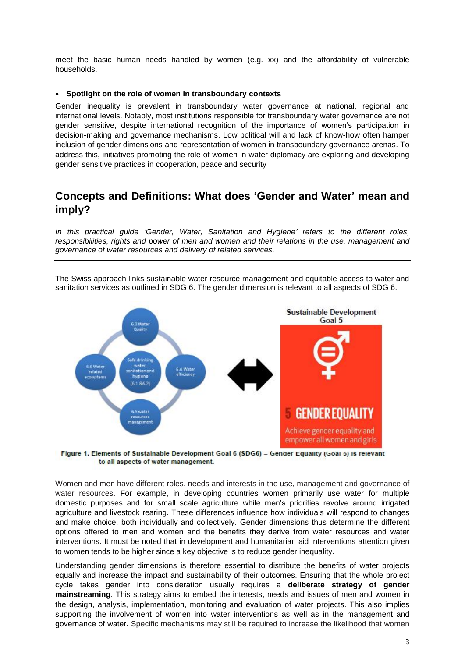meet the basic human needs handled by women (e.g. xx) and the affordability of vulnerable households.

#### **Spotlight on the role of women in transboundary contexts**

Gender inequality is prevalent in transboundary water governance at national, regional and international levels. Notably, most institutions responsible for transboundary water governance are not gender sensitive, despite international recognition of the importance of women"s participation in decision-making and governance mechanisms. Low political will and lack of know-how often hamper inclusion of gender dimensions and representation of women in transboundary governance arenas. To address this, initiatives promoting the role of women in water diplomacy are exploring and developing gender sensitive practices in cooperation, peace and security

# **Concepts and Definitions: What does 'Gender and Water' mean and imply?**

*In this practical guide "Gender, Water, Sanitation and Hygiene" refers to the different roles, responsibilities, rights and power of men and women and their relations in the use, management and governance of water resources and delivery of related services.*

The Swiss approach links sustainable water resource management and equitable access to water and sanitation services as outlined in SDG 6. The gender dimension is relevant to all aspects of SDG 6.



Figure 1. Elements of Sustainable Development Goal 6 (SDG6) - Gender Equality (Goal 5) is relevant to all aspects of water management.

Women and men have different roles, needs and interests in the use, management and governance of water resources. For example, in developing countries women primarily use water for multiple domestic purposes and for small scale agriculture while men"s priorities revolve around irrigated agriculture and livestock rearing. These differences influence how individuals will respond to changes and make choice, both individually and collectively. Gender dimensions thus determine the different options offered to men and women and the benefits they derive from water resources and water interventions. It must be noted that in development and humanitarian aid interventions attention given to women tends to be higher since a key objective is to reduce gender inequality.

Understanding gender dimensions is therefore essential to distribute the benefits of water projects equally and increase the impact and sustainability of their outcomes. Ensuring that the whole project cycle takes gender into consideration usually requires a **deliberate strategy of gender mainstreaming**. This strategy aims to embed the interests, needs and issues of men and women in the design, analysis, implementation, monitoring and evaluation of water projects. This also implies supporting the involvement of women into water interventions as well as in the management and governance of water. Specific mechanisms may still be required to increase the likelihood that women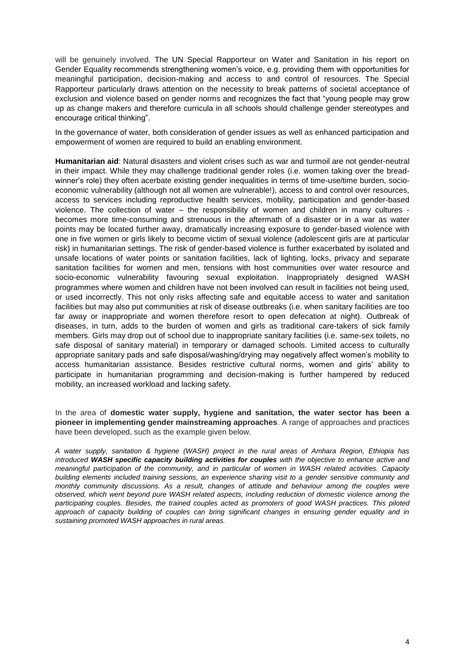will be genuinely involved. The UN Special Rapporteur on Water and Sanitation in his report on Gender Equality recommends strengthening women"s voice, e.g. providing them with opportunities for meaningful participation, decision-making and access to and control of resources. The Special Rapporteur particularly draws attention on the necessity to break patterns of societal acceptance of exclusion and violence based on gender norms and recognizes the fact that "young people may grow up as change makers and therefore curricula in all schools should challenge gender stereotypes and encourage critical thinking".

In the governance of water, both consideration of gender issues as well as enhanced participation and empowerment of women are required to build an enabling environment.

**Humanitarian aid**: Natural disasters and violent crises such as war and turmoil are not gender-neutral in their impact. While they may challenge traditional gender roles (i.e. women taking over the breadwinner's role) they often acerbate existing gender inequalities in terms of time-use/time burden, socioeconomic vulnerability (although not all women are vulnerable!), access to and control over resources, access to services including reproductive health services, mobility, participation and gender-based violence. The collection of water – the responsibility of women and children in many cultures becomes more time-consuming and strenuous in the aftermath of a disaster or in a war as water points may be located further away, dramatically increasing exposure to gender-based violence with one in five women or girls likely to become victim of sexual violence (adolescent girls are at particular risk) in humanitarian settings. The risk of gender-based violence is further exacerbated by isolated and unsafe locations of water points or sanitation facilities, lack of lighting, locks, privacy and separate sanitation facilities for women and men, tensions with host communities over water resource and socio-economic vulnerability favouring sexual exploitation. Inappropriately designed WASH programmes where women and children have not been involved can result in facilities not being used, or used incorrectly. This not only risks affecting safe and equitable access to water and sanitation facilities but may also put communities at risk of disease outbreaks (i.e. when sanitary facilities are too far away or inappropriate and women therefore resort to open defecation at night). Outbreak of diseases, in turn, adds to the burden of women and girls as traditional care-takers of sick family members. Girls may drop out of school due to inappropriate sanitary facilities (i.e. same-sex toilets, no safe disposal of sanitary material) in temporary or damaged schools. Limited access to culturally appropriate sanitary pads and safe disposal/washing/drying may negatively affect women's mobility to access humanitarian assistance. Besides restrictive cultural norms, women and girls" ability to participate in humanitarian programming and decision-making is further hampered by reduced mobility, an increased workload and lacking safety.

In the area of **domestic water supply, hygiene and sanitation, the water sector has been a pioneer in implementing gender mainstreaming approaches**. A range of approaches and practices have been developed, such as the example given below.

*A water supply, sanitation & hygiene (WASH) project in the rural areas of Amhara Region, Ethiopia has introduced WASH specific capacity building activities for couples with the objective to enhance active and meaningful participation of the community, and in particular of women in WASH related activities. Capacity building elements included training sessions, an experience sharing visit to a gender sensitive community and monthly community discussions. As a result, changes of attitude and behaviour among the couples were observed, which went beyond pure WASH related aspects, including reduction of domestic violence among the*  participating couples. Besides, the trained couples acted as promoters of good WASH practices. This piloted *approach of capacity building of couples can bring significant changes in ensuring gender equality and in sustaining promoted WASH approaches in rural areas.*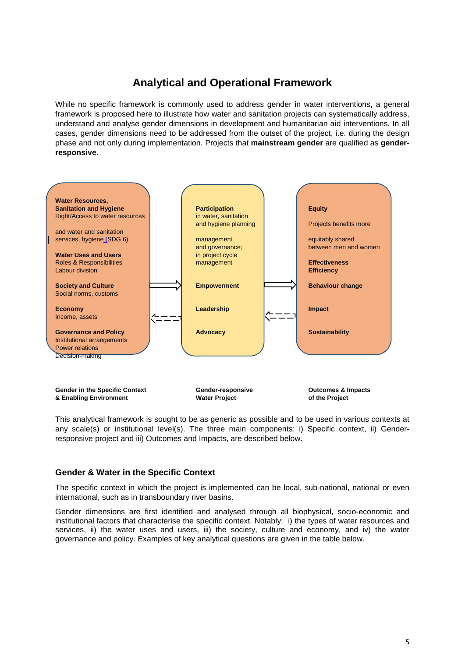# **Analytical and Operational Framework**

While no specific framework is commonly used to address gender in water interventions, a general framework is proposed here to illustrate how water and sanitation projects can systematically address, understand and analyse gender dimensions in development and humanitarian aid interventions. In all cases, gender dimensions need to be addressed from the outset of the project, i.e. during the design phase and not only during implementation. Projects that **mainstream gender** are qualified as **genderresponsive**.



This analytical framework is sought to be as generic as possible and to be used in various contexts at any scale(s) or institutional level(s). The three main components: i) Specific context, ii) Genderresponsive project and iii) Outcomes and Impacts, are described below.

#### **Gender & Water in the Specific Context**

The specific context in which the project is implemented can be local, sub-national, national or even international, such as in transboundary river basins.

Gender dimensions are first identified and analysed through all biophysical, socio-economic and institutional factors that characterise the specific context. Notably: i) the types of water resources and services, ii) the water uses and users, iii) the society, culture and economy, and iv) the water governance and policy. Examples of key analytical questions are given in the table below.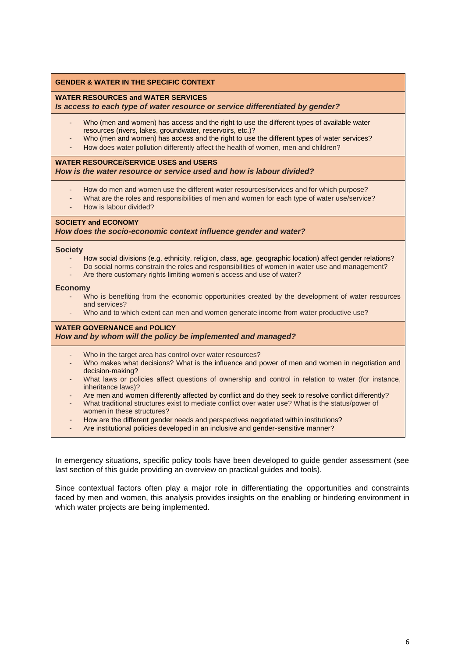#### **GENDER & WATER IN THE SPECIFIC CONTEXT**

#### **WATER RESOURCES and WATER SERVICES**

*Is access to each type of water resource or service differentiated by gender?*

- Who (men and women) has access and the right to use the different types of available water resources (rivers, lakes, groundwater, reservoirs, etc.)?
- Who (men and women) has access and the right to use the different types of water services?
- How does water pollution differently affect the health of women, men and children?

#### **WATER RESOURCE/SERVICE USES and USERS** *How is the water resource or service used and how is labour divided?*

- How do men and women use the different water resources/services and for which purpose?
- What are the roles and responsibilities of men and women for each type of water use/service?
- How is labour divided?

#### **SOCIETY and ECONOMY**

*How does the socio-economic context influence gender and water?*

#### **Society**

- How social divisions (e.g. ethnicity, religion, class, age, geographic location) affect gender relations?
- Do social norms constrain the roles and responsibilities of women in water use and management?
- Are there customary rights limiting women's access and use of water?

#### **Economy**

- Who is benefiting from the economic opportunities created by the development of water resources and services?
- Who and to which extent can men and women generate income from water productive use?

#### **WATER GOVERNANCE and POLICY** *How and by whom will the policy be implemented and managed?*

- Who in the target area has control over water resources?
- Who makes what decisions? What is the influence and power of men and women in negotiation and decision-making?
- What laws or policies affect questions of ownership and control in relation to water (for instance, inheritance laws)?
- Are men and women differently affected by conflict and do they seek to resolve conflict differently?
- What traditional structures exist to mediate conflict over water use? What is the status/power of women in these structures?
- How are the different gender needs and perspectives negotiated within institutions?
- Are institutional policies developed in an inclusive and gender-sensitive manner?

In emergency situations, specific policy tools have been developed to guide gender assessment (see last section of this guide providing an overview on practical guides and tools).

Since contextual factors often play a major role in differentiating the opportunities and constraints faced by men and women, this analysis provides insights on the enabling or hindering environment in which water projects are being implemented.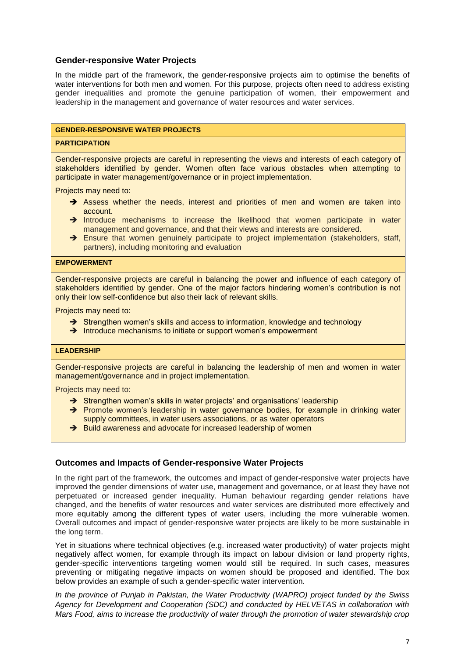### **Gender-responsive Water Projects**

In the middle part of the framework, the gender-responsive projects aim to optimise the benefits of water interventions for both men and women. For this purpose, projects often need to address existing gender inequalities and promote the genuine participation of women, their empowerment and leadership in the management and governance of water resources and water services.

#### **GENDER-RESPONSIVE WATER PROJECTS**

#### **PARTICIPATION**

Gender-responsive projects are careful in representing the views and interests of each category of stakeholders identified by gender. Women often face various obstacles when attempting to participate in water management/governance or in project implementation.

Projects may need to:

- $\rightarrow$  Assess whether the needs, interest and priorities of men and women are taken into account.
- $\rightarrow$  Introduce mechanisms to increase the likelihood that women participate in water management and governance, and that their views and interests are considered.
- Ensure that women genuinely participate to project implementation (stakeholders, staff, partners), including monitoring and evaluation

#### **EMPOWERMENT**

Gender-responsive projects are careful in balancing the power and influence of each category of stakeholders identified by gender. One of the major factors hindering women"s contribution is not only their low self-confidence but also their lack of relevant skills.

Projects may need to:

- $\rightarrow$  Strengthen women's skills and access to information, knowledge and technology
- $\rightarrow$  Introduce mechanisms to initiate or support women's empowerment

#### **LEADERSHIP**

Gender-responsive projects are careful in balancing the leadership of men and women in water management/governance and in project implementation.

Projects may need to:

- $\rightarrow$  Strengthen women's skills in water projects' and organisations' leadership
- $\rightarrow$  Promote women's leadership in water governance bodies, for example in drinking water supply committees, in water users associations, or as water operators
- $\rightarrow$  Build awareness and advocate for increased leadership of women

#### **Outcomes and Impacts of Gender-responsive Water Projects**

In the right part of the framework, the outcomes and impact of gender-responsive water projects have improved the gender dimensions of water use, management and governance, or at least they have not perpetuated or increased gender inequality. Human behaviour regarding gender relations have changed, and the benefits of water resources and water services are distributed more effectively and more equitably among the different types of water users, including the more vulnerable women. Overall outcomes and impact of gender-responsive water projects are likely to be more sustainable in the long term.

Yet in situations where technical objectives (e.g. increased water productivity) of water projects might negatively affect women, for example through its impact on labour division or land property rights, gender-specific interventions targeting women would still be required. In such cases, measures preventing or mitigating negative impacts on women should be proposed and identified. The box below provides an example of such a gender-specific water intervention.

*In the province of Punjab in Pakistan, the Water Productivity (WAPRO) project funded by the Swiss Agency for Development and Cooperation (SDC) and conducted by HELVETAS in collaboration with Mars Food, aims to increase the productivity of water through the promotion of water stewardship crop*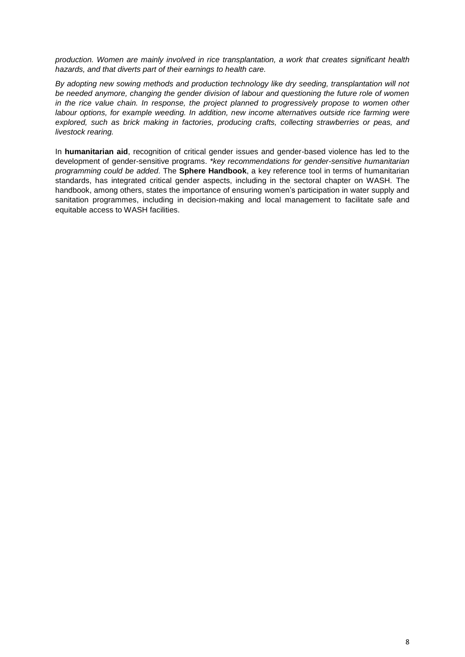*production. Women are mainly involved in rice transplantation, a work that creates significant health hazards, and that diverts part of their earnings to health care.*

*By adopting new sowing methods and production technology like dry seeding, transplantation will not be needed anymore, changing the gender division of labour and questioning the future role of women in the rice value chain. In response, the project planned to progressively propose to women other labour options, for example weeding. In addition, new income alternatives outside rice farming were explored, such as brick making in factories, producing crafts, collecting strawberries or peas, and livestock rearing.* 

In **humanitarian aid**, recognition of critical gender issues and gender-based violence has led to the development of gender-sensitive programs. *\*key recommendations for gender-sensitive humanitarian programming could be added*. The **Sphere Handbook**, a key reference tool in terms of humanitarian standards, has integrated critical gender aspects, including in the sectoral chapter on WASH. The handbook, among others, states the importance of ensuring women"s participation in water supply and sanitation programmes, including in decision-making and local management to facilitate safe and equitable access to WASH facilities.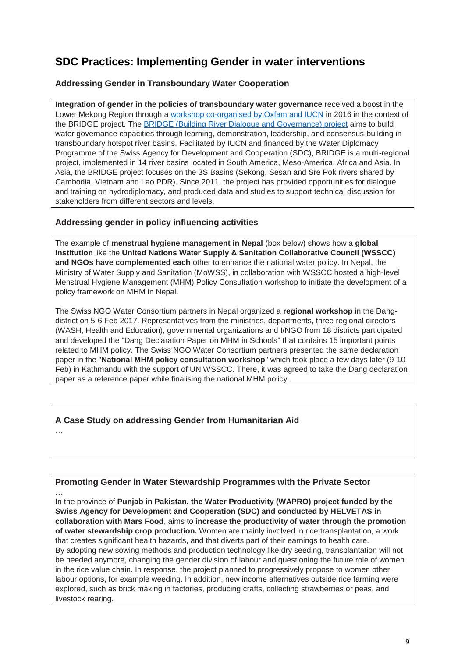# **SDC Practices: Implementing Gender in water interventions**

## **Addressing Gender in Transboundary Water Cooperation**

**Integration of gender in the policies of transboundary water governance** received a boost in the Lower Mekong Region through a [workshop co-organised by Oxfam and IUCN](https://cambodia.oxfam.org/sites/cambodia.oxfam.org/files/file_attachments/ToR_Facilitator_GenderandWomenLeadersWorkshop.pdf) in 2016 in the context of the BRIDGE project. The [BRIDGE \(Building River Dialogue and Governance\) project](http://www.3sbasin.org/) aims to build water governance capacities through learning, demonstration, leadership, and consensus-building in transboundary hotspot river basins. Facilitated by IUCN and financed by the Water Diplomacy Programme of the Swiss Agency for Development and Cooperation (SDC), BRIDGE is a multi-regional project, implemented in 14 river basins located in South America, Meso-America, Africa and Asia. In Asia, the BRIDGE project focuses on the 3S Basins (Sekong, Sesan and Sre Pok rivers shared by Cambodia, Vietnam and Lao PDR). Since 2011, the project has provided opportunities for dialogue and training on hydrodiplomacy, and produced data and studies to support technical discussion for stakeholders from different sectors and levels.

## **Addressing gender in policy influencing activities**

The example of **menstrual hygiene management in Nepal** (box below) shows how a **global institution** like the **United Nations Water Supply & Sanitation Collaborative Council (WSSCC) and NGOs have complemented each** other to enhance the national water policy. In Nepal, the Ministry of Water Supply and Sanitation (MoWSS), in collaboration with WSSCC hosted a high-level Menstrual Hygiene Management (MHM) Policy Consultation workshop to initiate the development of a policy framework on MHM in Nepal.

The Swiss NGO Water Consortium partners in Nepal organized a **regional workshop** in the Dangdistrict on 5-6 Feb 2017. Representatives from the ministries, departments, three regional directors (WASH, Health and Education), governmental organizations and I/NGO from 18 districts participated and developed the "Dang Declaration Paper on MHM in Schools" that contains 15 important points related to MHM policy. The Swiss NGO Water Consortium partners presented the same declaration paper in the "**National MHM policy consultation workshop**" which took place a few days later (9-10 Feb) in Kathmandu with the support of UN WSSCC. There, it was agreed to take the Dang declaration paper as a reference paper while finalising the national MHM policy.

## **A Case Study on addressing Gender from Humanitarian Aid**

…

## **Promoting Gender in Water Stewardship Programmes with the Private Sector**

… In the province of **Punjab in Pakistan, the Water Productivity (WAPRO) project funded by the Swiss Agency for Development and Cooperation (SDC) and conducted by HELVETAS in collaboration with Mars Food**, aims to **increase the productivity of water through the promotion of water stewardship crop production.** Women are mainly involved in rice transplantation, a work that creates significant health hazards, and that diverts part of their earnings to health care. By adopting new sowing methods and production technology like dry seeding, transplantation will not be needed anymore, changing the gender division of labour and questioning the future role of women in the rice value chain. In response, the project planned to progressively propose to women other labour options, for example weeding. In addition, new income alternatives outside rice farming were explored, such as brick making in factories, producing crafts, collecting strawberries or peas, and livestock rearing.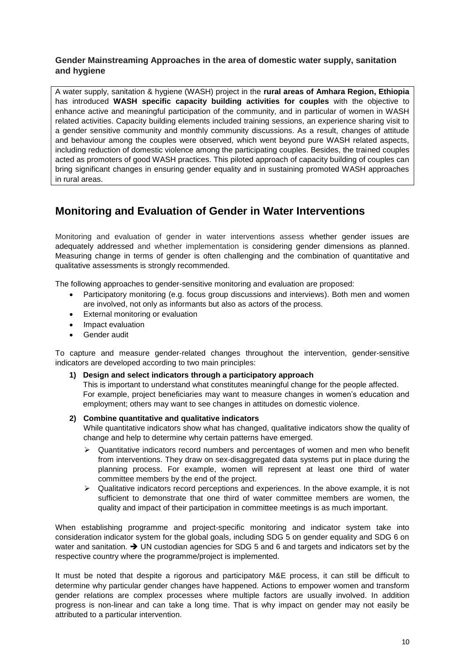## **Gender Mainstreaming Approaches in the area of domestic water supply, sanitation and hygiene**

A water supply, sanitation & hygiene (WASH) project in the **rural areas of Amhara Region, Ethiopia** has introduced **WASH specific capacity building activities for couples** with the objective to enhance active and meaningful participation of the community, and in particular of women in WASH related activities. Capacity building elements included training sessions, an experience sharing visit to a gender sensitive community and monthly community discussions. As a result, changes of attitude and behaviour among the couples were observed, which went beyond pure WASH related aspects, including reduction of domestic violence among the participating couples. Besides, the trained couples acted as promoters of good WASH practices. This piloted approach of capacity building of couples can bring significant changes in ensuring gender equality and in sustaining promoted WASH approaches in rural areas.

# **Monitoring and Evaluation of Gender in Water Interventions**

Monitoring and evaluation of gender in water interventions assess whether gender issues are adequately addressed and whether implementation is considering gender dimensions as planned. Measuring change in terms of gender is often challenging and the combination of quantitative and qualitative assessments is strongly recommended.

The following approaches to gender-sensitive monitoring and evaluation are proposed:

- Participatory monitoring (e.g. focus group discussions and interviews). Both men and women are involved, not only as informants but also as actors of the process.
- External monitoring or evaluation
- Impact evaluation
- Gender audit

To capture and measure gender-related changes throughout the intervention, gender-sensitive indicators are developed according to two main principles:

#### **1) Design and select indicators through a participatory approach**

This is important to understand what constitutes meaningful change for the people affected. For example, project beneficiaries may want to measure changes in women"s education and employment; others may want to see changes in attitudes on domestic violence.

#### **2) Combine quantitative and qualitative indicators**

While quantitative indicators show what has changed, qualitative indicators show the quality of change and help to determine why certain patterns have emerged.

- $\triangleright$  Quantitative indicators record numbers and percentages of women and men who benefit from interventions. They draw on sex-disaggregated data systems put in place during the planning process. For example, women will represent at least one third of water committee members by the end of the project.
- $\triangleright$  Qualitative indicators record perceptions and experiences. In the above example, it is not sufficient to demonstrate that one third of water committee members are women, the quality and impact of their participation in committee meetings is as much important.

When establishing programme and project-specific monitoring and indicator system take into consideration indicator system for the global goals, including SDG 5 on gender equality and SDG 6 on water and sanitation.  $\rightarrow$  UN custodian agencies for SDG 5 and 6 and targets and indicators set by the respective country where the programme/project is implemented.

It must be noted that despite a rigorous and participatory M&E process, it can still be difficult to determine why particular gender changes have happened. Actions to empower women and transform gender relations are complex processes where multiple factors are usually involved. In addition progress is non-linear and can take a long time. That is why impact on gender may not easily be attributed to a particular intervention.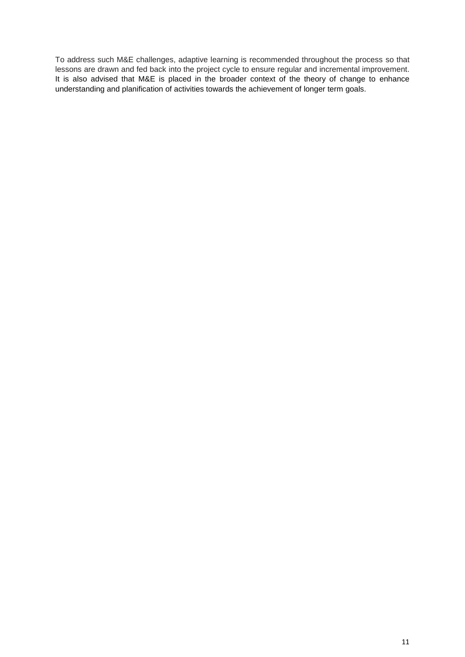To address such M&E challenges, adaptive learning is recommended throughout the process so that lessons are drawn and fed back into the project cycle to ensure regular and incremental improvement. It is also advised that M&E is placed in the broader context of the theory of change to enhance understanding and planification of activities towards the achievement of longer term goals.